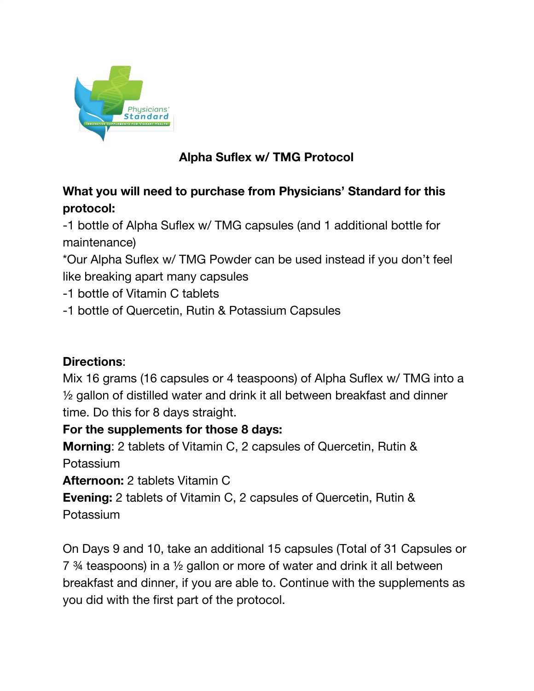

## **Alpha Suflex w/ TMG Protocol**

## **What you will need to purchase from Physicians' Standard for this protocol:**

-1 bottle of Alpha Suflex w/ TMG capsules (and 1 additional bottle for maintenance)

\*Our Alpha Suflex w/ TMG Powder can be used instead if you don't feel like breaking apart many capsules

- -1 bottle of Vitamin C tablets
- -1 bottle of Quercetin, Rutin & Potassium Capsules

## **Directions**:

Mix 16 grams (16 capsules or 4 teaspoons) of Alpha Suflex w/ TMG into a ½ gallon of distilled water and drink it all between breakfast and dinner time. Do this for 8 days straight.

## **For the supplements for those 8 days:**

**Morning**: 2 tablets of Vitamin C, 2 capsules of Quercetin, Rutin & Potassium

**Afternoon:** 2 tablets Vitamin C

**Evening:** 2 tablets of Vitamin C, 2 capsules of Quercetin, Rutin & **Potassium** 

On Days 9 and 10, take an additional 15 capsules (Total of 31 Capsules or 7 ¾ teaspoons) in a ½ gallon or more of water and drink it all between breakfast and dinner, if you are able to. Continue with the supplements as you did with the first part of the protocol.